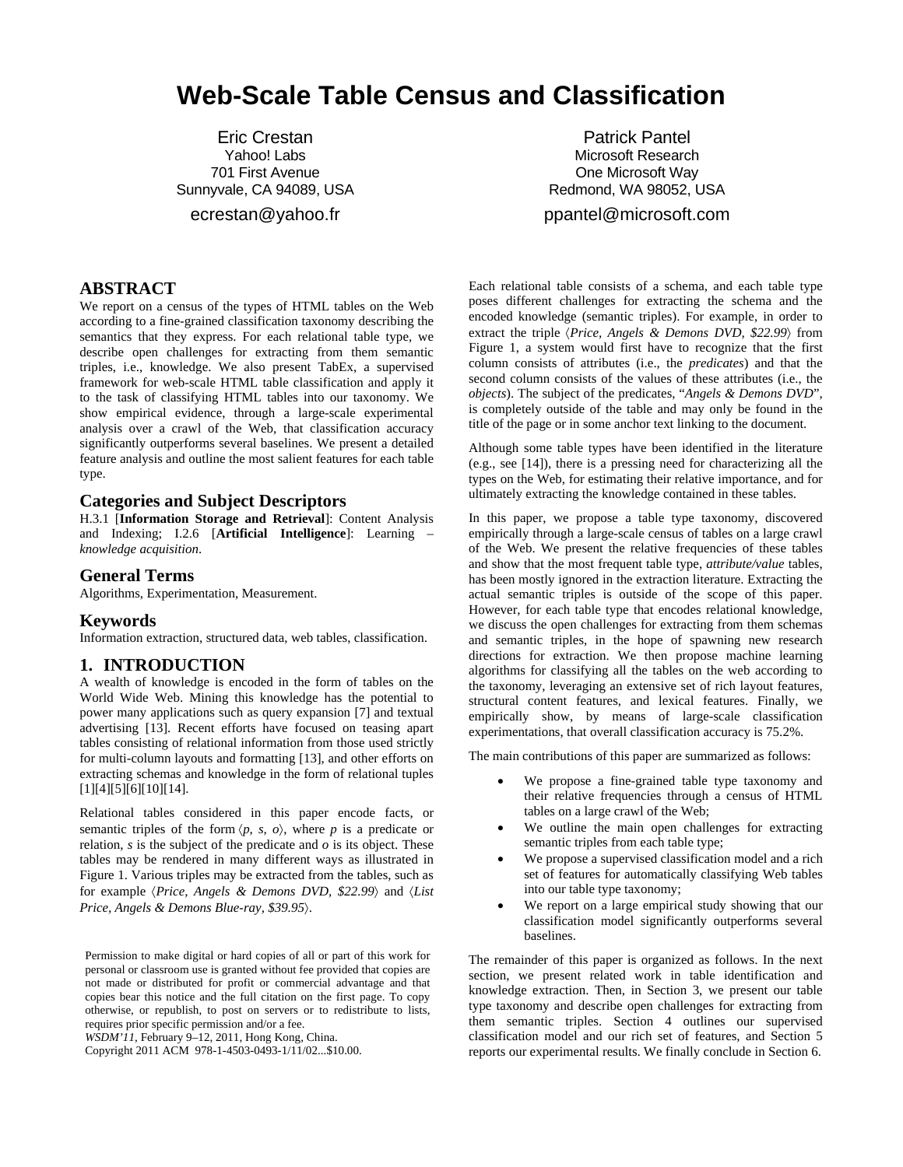# **Web-Scale Table Census and Classification**

Eric Crestan Yahoo! Labs 701 First Avenue Sunnyvale, CA 94089, USA

ecrestan@yahoo.fr

#### **ABSTRACT**

We report on a census of the types of HTML tables on the Web according to a fine-grained classification taxonomy describing the semantics that they express. For each relational table type, we describe open challenges for extracting from them semantic triples, i.e., knowledge. We also present TabEx, a supervised framework for web-scale HTML table classification and apply it to the task of classifying HTML tables into our taxonomy. We show empirical evidence, through a large-scale experimental analysis over a crawl of the Web, that classification accuracy significantly outperforms several baselines. We present a detailed feature analysis and outline the most salient features for each table type.

#### **Categories and Subject Descriptors**

H.3.1 [**Information Storage and Retrieval**]: Content Analysis and Indexing; I.2.6 [**Artificial Intelligence**]: Learning – *knowledge acquisition*.

#### **General Terms**

Algorithms, Experimentation, Measurement.

#### **Keywords**

Information extraction, structured data, web tables, classification.

#### **1. INTRODUCTION**

A wealth of knowledge is encoded in the form of tables on the World Wide Web. Mining this knowledge has the potential to power many applications such as query expansion [7] and textual advertising [13]. Recent efforts have focused on teasing apart tables consisting of relational information from those used strictly for multi-column layouts and formatting [13], and other efforts on extracting schemas and knowledge in the form of relational tuples [1][4][5][6][10][14].

Relational tables considered in this paper encode facts, or semantic triples of the form  $\langle p, s, \rho \rangle$ , where *p* is a predicate or relation,  $s$  is the subject of the predicate and  $o$  is its object. These tables may be rendered in many different ways as illustrated in Figure 1. Various triples may be extracted from the tables, such as for example *Price, Angels & Demons DVD, \$22.99* and *List Price, Angels & Demons Blue-ray, \$39.95*.

Permission to make digital or hard copies of all or part of this work for personal or classroom use is granted without fee provided that copies are not made or distributed for profit or commercial advantage and that copies bear this notice and the full citation on the first page. To copy otherwise, or republish, to post on servers or to redistribute to lists, requires prior specific permission and/or a fee.

*WSDM'11*, February 9–12, 2011, Hong Kong, China.

Copyright 2011 ACM 978-1-4503-0493-1/11/02...\$10.00.

Patrick Pantel Microsoft Research One Microsoft Way Redmond, WA 98052, USA ppantel@microsoft.com

Each relational table consists of a schema, and each table type poses different challenges for extracting the schema and the encoded knowledge (semantic triples). For example, in order to extract the triple *{Price, Angels & Demons DVD, \$22.99}* from Figure 1, a system would first have to recognize that the first column consists of attributes (i.e., the *predicates*) and that the second column consists of the values of these attributes (i.e., the *objects*). The subject of the predicates, "*Angels & Demons DVD*", is completely outside of the table and may only be found in the title of the page or in some anchor text linking to the document.

Although some table types have been identified in the literature (e.g., see [14]), there is a pressing need for characterizing all the types on the Web, for estimating their relative importance, and for ultimately extracting the knowledge contained in these tables.

In this paper, we propose a table type taxonomy, discovered empirically through a large-scale census of tables on a large crawl of the Web. We present the relative frequencies of these tables and show that the most frequent table type, *attribute/value* tables, has been mostly ignored in the extraction literature. Extracting the actual semantic triples is outside of the scope of this paper. However, for each table type that encodes relational knowledge, we discuss the open challenges for extracting from them schemas and semantic triples, in the hope of spawning new research directions for extraction. We then propose machine learning algorithms for classifying all the tables on the web according to the taxonomy, leveraging an extensive set of rich layout features, structural content features, and lexical features. Finally, we empirically show, by means of large-scale classification experimentations, that overall classification accuracy is 75.2%.

The main contributions of this paper are summarized as follows:

- We propose a fine-grained table type taxonomy and their relative frequencies through a census of HTML tables on a large crawl of the Web;
- We outline the main open challenges for extracting semantic triples from each table type;
- We propose a supervised classification model and a rich set of features for automatically classifying Web tables into our table type taxonomy;
- We report on a large empirical study showing that our classification model significantly outperforms several baselines.

The remainder of this paper is organized as follows. In the next section, we present related work in table identification and knowledge extraction. Then, in Section 3, we present our table type taxonomy and describe open challenges for extracting from them semantic triples. Section 4 outlines our supervised classification model and our rich set of features, and Section 5 reports our experimental results. We finally conclude in Section 6.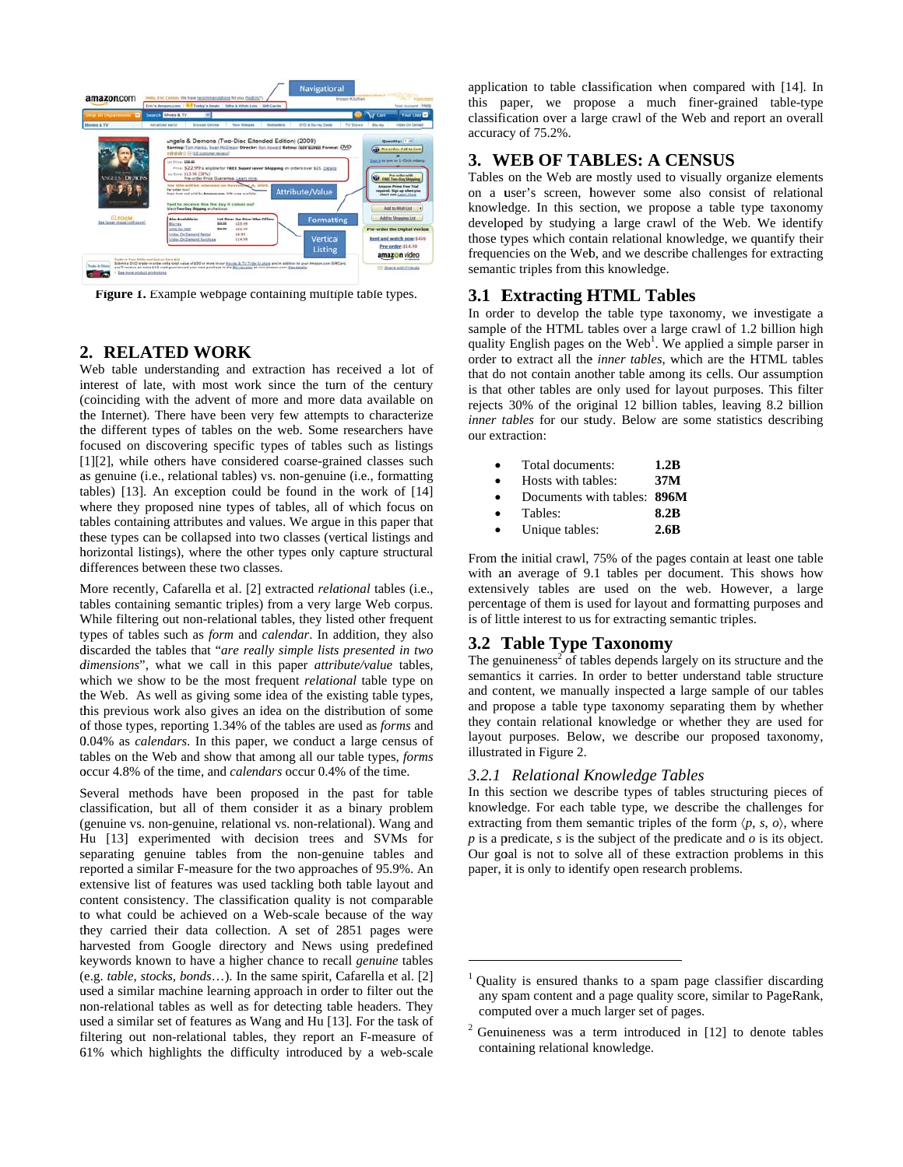

Figure 1. Example webpage containing multiple table types.

## **2 2. RELATE ED WORK**

Web table understanding and extraction has received a lot of interest of late, with most work since the turn of the century (coinciding with the advent of more and more data available on the Internet). There have been very few attempts to characterize the different types of tables on the web. Some researchers have focused on discovering specific types of tables such as listings [1][2], while others have considered coarse-grained classes such as genuine (i.e., relational tables) vs. non-genuine (i.e., formatting  $tables)$  [13]. An exception could be found in the work of [14] where they proposed nine types of tables, all of which focus on tables containing attributes and values. We argue in this paper that these types can be collapsed into two classes (vertical listings and horizontal listings), where the other types only capture structural differences between these two classes.

More recently, Cafarella et al. [2] extracted *relational* tables (i.e., tables containing semantic triples) from a very large Web corpus. While filtering out non-relational tables, they listed other frequent types of tables such as *form* and *calendar*. In addition, they also discarded the tables that "*are really simple lists presented in two* dimensions", what we call in this paper *attribute/value* tables, which we show to be the most frequent *relational* table type on the Web. As well as giving some idea of the existing table types, this previous work also gives an idea on the distribution of some of those types, reporting 1.34% of the tables are used as *forms* and 0.04% as *calendars*. In this paper, we conduct a large census of tables on the Web and show that among all our table types, *forms* occur 4.8% of the time, and *calendars* occur 0.4% of the time.

Several methods have been proposed in the past for table classification, but all of them consider it as a binary problem (genuine vs. non-genuine, relational vs. non-relational). Wang and Hu [13] experimented with decision trees and SVMs for separating genuine tables from the non-genuine tables and reported a similar F-measure for the two approaches of 95.9%. An extensive list of features was used tackling both table layout and content consistency. The classification quality is not comparable to what could be achieved on a Web-scale because of the way they carried their data collection. A set of 2851 pages were harvested from Google directory and News using predefined keywords known to have a higher chance to recall *genuine* tables (e.g. *table*, *stocks*, *bonds*...). In the same spirit, Cafarella et al. [2] used a similar machine learning approach in order to filter out the non-relational tables as well as for detecting table headers. They used a similar set of features as Wang and Hu [13]. For the task of filtering out non-relational tables, they report an F-measure of 61% which highlights the difficulty introduced by a web-scale application to table classification when compared with [14]. In this paper, we propose a much finer-grained table-type classification over a large crawl of the Web and report an overall accuracy of 75.2%.

## **3. WEB OF TABLES: A CENSUS**

Tables on the Web are mostly used to visually organize elements on a user's screen, however some also consist of relational knowledge. In this section, we propose a table type taxonomy developed by studying a large crawl of the Web. We identify those types which contain relational knowledge, we quantify their frequencies on the Web, and we describe challenges for extracting semantic triples from this knowledge.

## **3.1 Extracting HTML Tables**

In order to develop the table type taxonomy, we investigate a sample of the HTML tables over a large crawl of 1.2 billion high quality English pages on the Web<sup>1</sup>. We applied a simple parser in order to extract all the *inner tables*, which are the HTML tables that do not contain another table among its cells. Our assumption is that other tables are only used for layout purposes. This filter rejects 30% of the original 12 billion tables, leaving 8.2 billion *inner tables* for our study. Below are some statistics describing our extraction:

| ٠         | Total documents:            | 1.2B |
|-----------|-----------------------------|------|
| $\bullet$ | Hosts with tables:          | 37M  |
| $\bullet$ | Documents with tables: 896M |      |
| $\bullet$ | Tables:                     | 8.2B |
|           | Unique tables:              | 2.6B |

From the initial crawl, 75% of the pages contain at least one table with an average of 9.1 tables per document. This shows how extensively tables are used on the web. However, a large percentage of them is used for layout and formatting purposes and is of little interest to us for extracting semantic triples.

## **3.2 T Table Type Taxonomy**

The genuineness<sup>2</sup> of tables depends largely on its structure and the semantics it carries. In order to better understand table structure and content, we manually inspected a large sample of our tables and propose a table type taxonomy separating them by whether they contain relational knowledge or whether they are used for layout purposes. Below, we describe our proposed taxonomy, illustrated in Figure 2.

#### *3.2.1 Relational K Knowledge Ta ables*

 $\overline{a}$ 

 $\overline{a}$ 

 $\overline{a}$ 

In this section we describe types of tables structuring pieces of knowledge. For each table type, we describe the challenges for extracting from them semantic triples of the form  $\langle p, s, o \rangle$ , where  $p$  is a predicate,  $s$  is the subject of the predicate and  $o$  is its object. Our goal is not to solve all of these extraction problems in this paper, it is only to identify open research problems.

 $\overline{a}$ 

<sup>&</sup>lt;sup>1</sup> Quality is ensured thanks to a spam page classifier discarding any spam content and a page quality score, similar to PageRank, computed over a much larger set of pages.

 $2^2$  Genuineness was a term introduced in [12] to denote tables containing relational knowledge.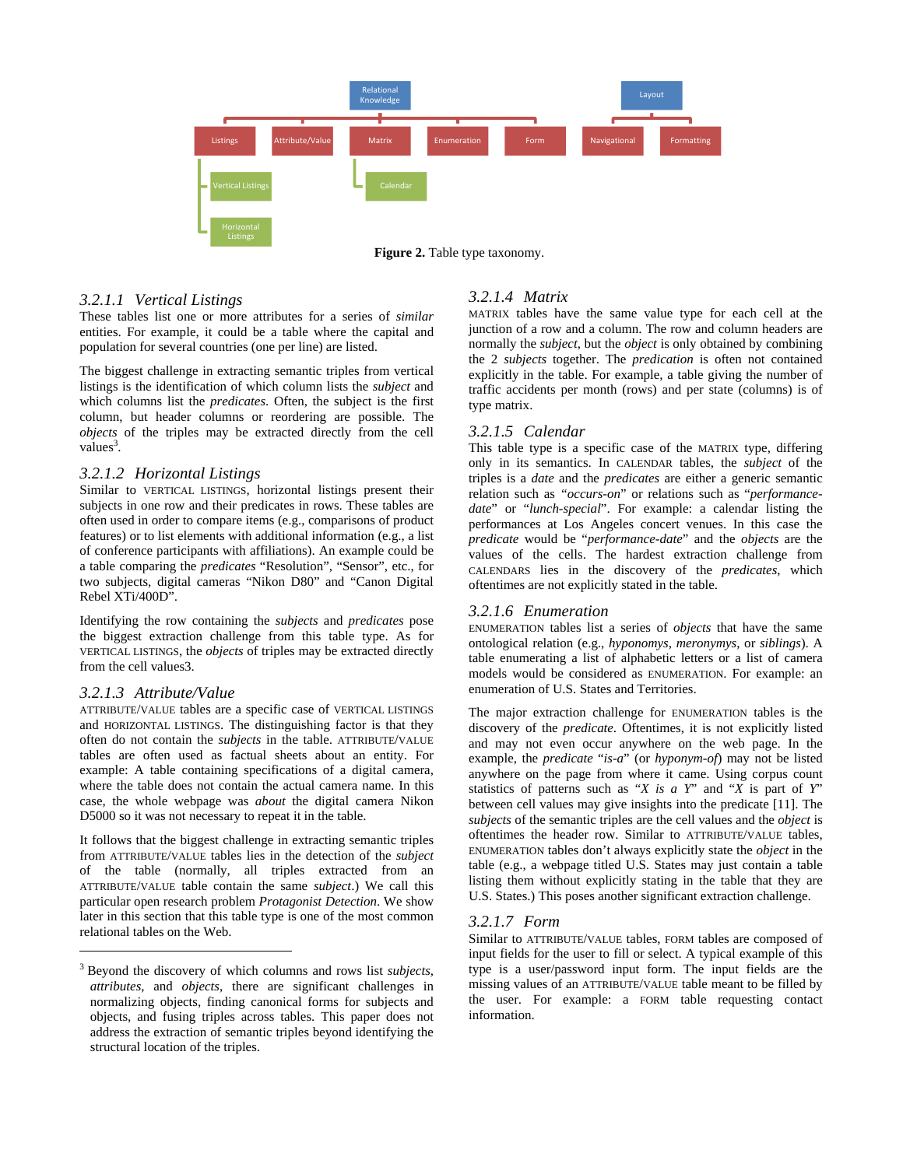

Figure 2. Table type taxonomy.

#### *3.2.1.1 Vertical Listings*

These tables list one or more attributes for a series of *similar* entities. For example, it could be a table where the capital and population for several countries (one per line) are listed.

The biggest challenge in extracting semantic triples from vertical listings is the identification of which column lists the *subject* and which columns list the *predicates*. Often, the subject is the first column, but header columns or reordering are possible. The *objects* of the triples may be extracted directly from the cell values<sup>3</sup>.

#### *3.2.1.2 Horizontal Listings*

Similar to VERTICAL LISTINGS, horizontal listings present their subjects in one row and their predicates in rows. These tables are often used in order to compare items (e.g., comparisons of product features) or to list elements with additional information (e.g., a list of conference participants with affiliations). An example could be a table comparing the *predicates* "Resolution", "Sensor", etc., for two subjects, digital cameras "Nikon D80" and "Canon Digital Rebel XTi/400D".

Identifying the row containing the *subjects* and *predicates* pose the biggest extraction challenge from this table type. As for VERTICAL LISTINGS, the *objects* of triples may be extracted directly from the cell values3.

#### *3.2.1.3 Attribute/Value*

l

ATTRIBUTE/VALUE tables are a specific case of VERTICAL LISTINGS and HORIZONTAL LISTINGS. The distinguishing factor is that they often do not contain the *subjects* in the table. ATTRIBUTE/VALUE tables are often used as factual sheets about an entity. For example: A table containing specifications of a digital camera, where the table does not contain the actual camera name. In this case, the whole webpage was *about* the digital camera Nikon D5000 so it was not necessary to repeat it in the table.

It follows that the biggest challenge in extracting semantic triples from ATTRIBUTE/VALUE tables lies in the detection of the *subject* of the table (normally, all triples extracted from an ATTRIBUTE/VALUE table contain the same *subject*.) We call this particular open research problem *Protagonist Detection*. We show later in this section that this table type is one of the most common relational tables on the Web.

#### *3.2.1.4 Matrix*

MATRIX tables have the same value type for each cell at the junction of a row and a column. The row and column headers are normally the *subject*, but the *object* is only obtained by combining the 2 *subjects* together. The *predication* is often not contained explicitly in the table. For example, a table giving the number of traffic accidents per month (rows) and per state (columns) is of type matrix.

#### *3.2.1.5 Calendar*

This table type is a specific case of the MATRIX type, differing only in its semantics. In CALENDAR tables, the *subject* of the triples is a *date* and the *predicates* are either a generic semantic relation such as *"occurs-on*" or relations such as "*performancedate*" or "*lunch-special*". For example: a calendar listing the performances at Los Angeles concert venues. In this case the *predicate* would be "*performance-date*" and the *objects* are the values of the cells. The hardest extraction challenge from CALENDARS lies in the discovery of the *predicates*, which oftentimes are not explicitly stated in the table.

#### *3.2.1.6 Enumeration*

ENUMERATION tables list a series of *objects* that have the same ontological relation (e.g., *hyponomys*, *meronymys*, or *siblings*). A table enumerating a list of alphabetic letters or a list of camera models would be considered as ENUMERATION. For example: an enumeration of U.S. States and Territories.

The major extraction challenge for ENUMERATION tables is the discovery of the *predicate*. Oftentimes, it is not explicitly listed and may not even occur anywhere on the web page. In the example, the *predicate* "*is-a*" (or *hyponym-of*) may not be listed anywhere on the page from where it came. Using corpus count statistics of patterns such as "*X is a Y*" and "*X* is part of *Y*" between cell values may give insights into the predicate [11]. The *subjects* of the semantic triples are the cell values and the *object* is oftentimes the header row. Similar to ATTRIBUTE/VALUE tables, ENUMERATION tables don't always explicitly state the *object* in the table (e.g., a webpage titled U.S. States may just contain a table listing them without explicitly stating in the table that they are U.S. States.) This poses another significant extraction challenge.

#### *3.2.1.7 Form*

Similar to ATTRIBUTE/VALUE tables, FORM tables are composed of input fields for the user to fill or select. A typical example of this type is a user/password input form. The input fields are the missing values of an ATTRIBUTE/VALUE table meant to be filled by the user. For example: a FORM table requesting contact information.

<sup>3</sup> Beyond the discovery of which columns and rows list *subjects*, *attributes*, and *objects*, there are significant challenges in normalizing objects, finding canonical forms for subjects and objects, and fusing triples across tables. This paper does not address the extraction of semantic triples beyond identifying the structural location of the triples.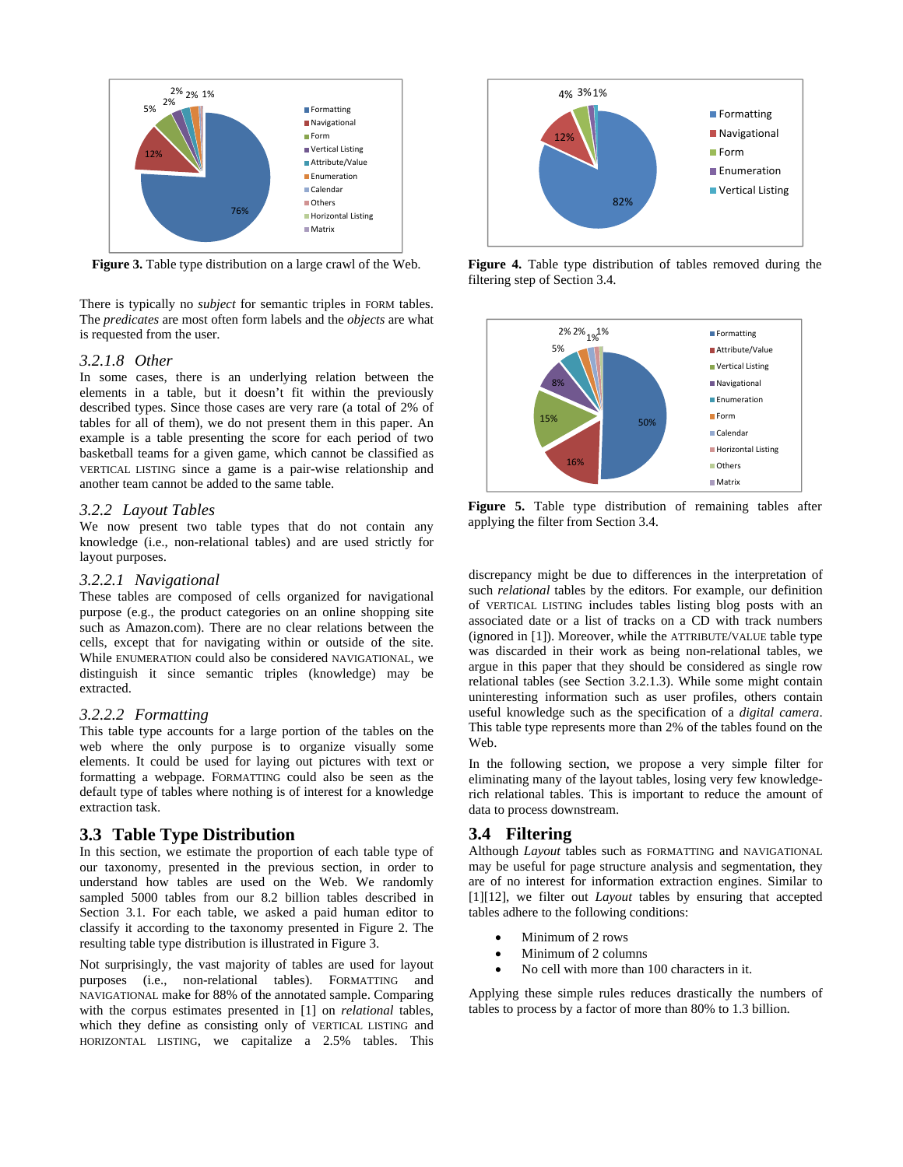

**Figure 3.** Table type distribution on a large crawl of the Web.

There is typically no *subject* for semantic triples in FORM tables. The *predicates* are most often form labels and the *objects* are what is requested from the user.

#### *3.2.1.8 Other*

In some cases, there is an underlying relation between the elements in a table, but it doesn't fit within the previously described types. Since those cases are very rare (a total of 2% of tables for all of them), we do not present them in this paper. An example is a table presenting the score for each period of two basketball teams for a given game, which cannot be classified as VERTICAL LISTING since a game is a pair-wise relationship and another team cannot be added to the same table.

#### *3.2.2 Layout Tables*

We now present two table types that do not contain any knowledge (i.e., non-relational tables) and are used strictly for layout purposes.

#### *3.2.2.1 Navigational*

These tables are composed of cells organized for navigational purpose (e.g., the product categories on an online shopping site such as Amazon.com). There are no clear relations between the cells, except that for navigating within or outside of the site. While ENUMERATION could also be considered NAVIGATIONAL, we distinguish it since semantic triples (knowledge) may be extracted.

#### *3.2.2.2 Formatting*

This table type accounts for a large portion of the tables on the web where the only purpose is to organize visually some elements. It could be used for laying out pictures with text or formatting a webpage. FORMATTING could also be seen as the default type of tables where nothing is of interest for a knowledge extraction task.

#### **3.3 Table Type Distribution**

In this section, we estimate the proportion of each table type of our taxonomy, presented in the previous section, in order to understand how tables are used on the Web. We randomly sampled 5000 tables from our 8.2 billion tables described in Section 3.1. For each table, we asked a paid human editor to classify it according to the taxonomy presented in Figure 2. The resulting table type distribution is illustrated in Figure 3.

Not surprisingly, the vast majority of tables are used for layout purposes (i.e., non-relational tables). FORMATTING and NAVIGATIONAL make for 88% of the annotated sample. Comparing with the corpus estimates presented in [1] on *relational* tables, which they define as consisting only of VERTICAL LISTING and HORIZONTAL LISTING, we capitalize a 2.5% tables. This



**Figure 4.** Table type distribution of tables removed during the filtering step of Section 3.4.



Figure 5. Table type distribution of remaining tables after applying the filter from Section 3.4.

discrepancy might be due to differences in the interpretation of such *relational* tables by the editors. For example, our definition of VERTICAL LISTING includes tables listing blog posts with an associated date or a list of tracks on a CD with track numbers (ignored in [1]). Moreover, while the ATTRIBUTE/VALUE table type was discarded in their work as being non-relational tables, we argue in this paper that they should be considered as single row relational tables (see Section 3.2.1.3). While some might contain uninteresting information such as user profiles, others contain useful knowledge such as the specification of a *digital camera*. This table type represents more than 2% of the tables found on the Web.

In the following section, we propose a very simple filter for eliminating many of the layout tables, losing very few knowledgerich relational tables. This is important to reduce the amount of data to process downstream.

#### **3.4 Filtering**

Although *Layout* tables such as FORMATTING and NAVIGATIONAL may be useful for page structure analysis and segmentation, they are of no interest for information extraction engines. Similar to [1][12], we filter out *Layout* tables by ensuring that accepted tables adhere to the following conditions:

- Minimum of 2 rows
- Minimum of 2 columns
- No cell with more than 100 characters in it.

Applying these simple rules reduces drastically the numbers of tables to process by a factor of more than 80% to 1.3 billion.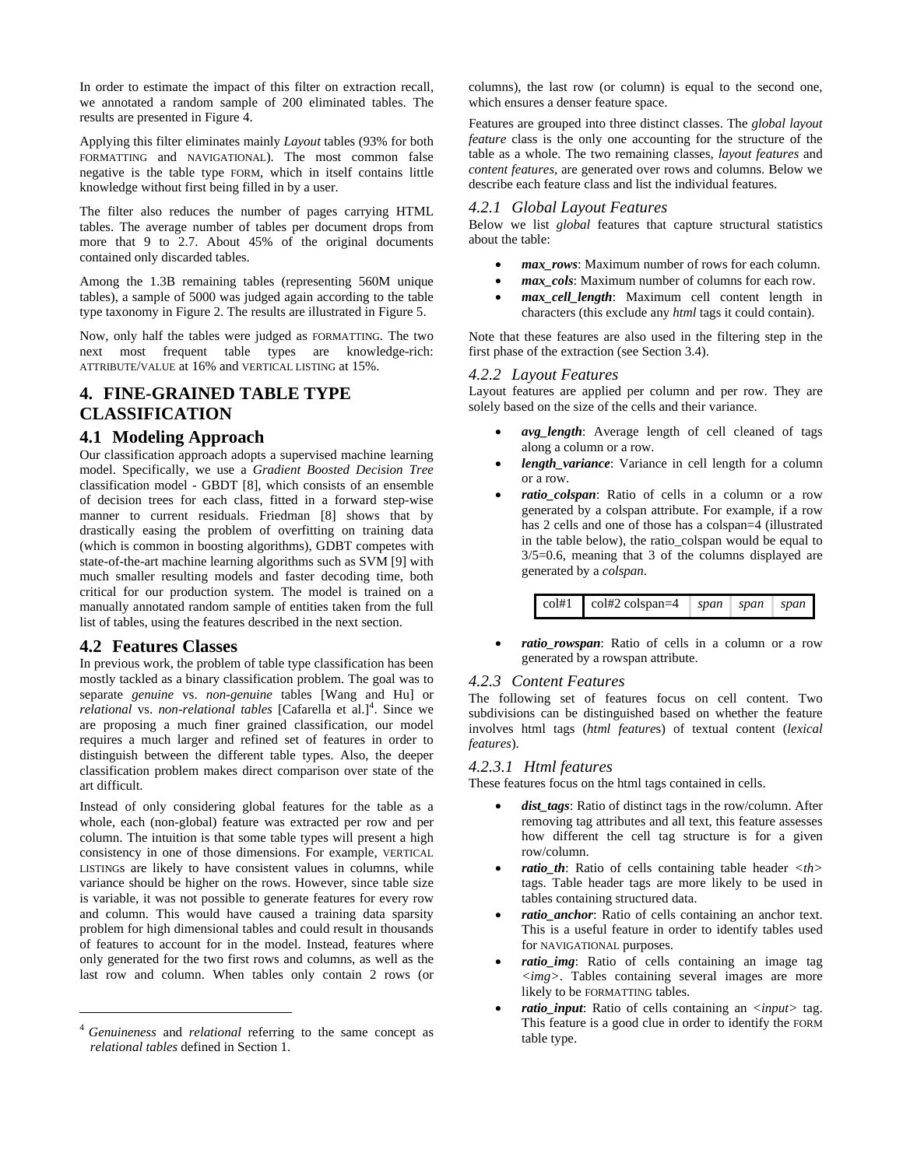In order to estimate the impact of this filter on extraction recall, we annotated a random sample of 200 eliminated tables. The results are presented in Figure 4.

Applying this filter eliminates mainly *Layout* tables (93% for both FORMATTING and NAVIGATIONAL). The most common false negative is the table type FORM, which in itself contains little knowledge without first being filled in by a user.

The filter also reduces the number of pages carrying HTML tables. The average number of tables per document drops from more that 9 to 2.7. About 45% of the original documents contained only discarded tables.

Among the 1.3B remaining tables (representing 560M unique tables), a sample of 5000 was judged again according to the table type taxonomy in Figure 2. The results are illustrated in Figure 5.

Now, only half the tables were judged as FORMATTING. The two next most frequent table types are knowledge-rich: ATTRIBUTE/VALUE at 16% and VERTICAL LISTING at 15%.

# **4. FINE-GRAINED TABLE TYPE CLASSIFICATION**

#### **4.1 Modeling Approach**

Our classification approach adopts a supervised machine learning model. Specifically, we use a *Gradient Boosted Decision Tree* classification model - GBDT [8], which consists of an ensemble of decision trees for each class, fitted in a forward step-wise manner to current residuals. Friedman [8] shows that by drastically easing the problem of overfitting on training data (which is common in boosting algorithms), GDBT competes with state-of-the-art machine learning algorithms such as SVM [9] with much smaller resulting models and faster decoding time, both critical for our production system. The model is trained on a manually annotated random sample of entities taken from the full list of tables, using the features described in the next section.

#### **4.2 Features Classes**

1

In previous work, the problem of table type classification has been mostly tackled as a binary classification problem. The goal was to separate *genuine* vs. *non-genuine* tables [Wang and Hu] or relational vs. non-relational tables [Cafarella et al.]<sup>4</sup>. Since we are proposing a much finer grained classification, our model requires a much larger and refined set of features in order to distinguish between the different table types. Also, the deeper classification problem makes direct comparison over state of the art difficult.

Instead of only considering global features for the table as a whole, each (non-global) feature was extracted per row and per column. The intuition is that some table types will present a high consistency in one of those dimensions. For example, VERTICAL LISTINGs are likely to have consistent values in columns, while variance should be higher on the rows. However, since table size is variable, it was not possible to generate features for every row and column. This would have caused a training data sparsity problem for high dimensional tables and could result in thousands of features to account for in the model. Instead, features where only generated for the two first rows and columns, as well as the last row and column. When tables only contain 2 rows (or

columns), the last row (or column) is equal to the second one, which ensures a denser feature space.

Features are grouped into three distinct classes. The *global layout feature* class is the only one accounting for the structure of the table as a whole. The two remaining classes, *layout features* and *content features*, are generated over rows and columns. Below we describe each feature class and list the individual features.

#### *4.2.1 Global Layout Features*

Below we list *global* features that capture structural statistics about the table:

- *max\_rows*: Maximum number of rows for each column.
- *max\_cols*: Maximum number of columns for each row.
- *max\_cell\_length*: Maximum cell content length in characters (this exclude any *html* tags it could contain).

Note that these features are also used in the filtering step in the first phase of the extraction (see Section 3.4).

#### *4.2.2 Layout Features*

Layout features are applied per column and per row. They are solely based on the size of the cells and their variance.

- *avg\_length*: Average length of cell cleaned of tags along a column or a row.
- *length\_variance*: Variance in cell length for a column or a row.
- *ratio\_colspan*: Ratio of cells in a column or a row generated by a colspan attribute. For example, if a row has 2 cells and one of those has a colspan=4 (illustrated in the table below), the ratio\_colspan would be equal to 3/5=0.6, meaning that 3 of the columns displayed are generated by a *colspan*.



 *ratio\_rowspan*: Ratio of cells in a column or a row generated by a rowspan attribute.

#### *4.2.3 Content Features*

The following set of features focus on cell content. Two subdivisions can be distinguished based on whether the feature involves html tags (*html feature*s) of textual content (*lexical features*).

#### *4.2.3.1 Html features*

These features focus on the html tags contained in cells.

- *dist\_tags*: Ratio of distinct tags in the row/column. After removing tag attributes and all text, this feature assesses how different the cell tag structure is for a given row/column.
- *ratio\_th*: Ratio of cells containing table header *<th>* tags. Table header tags are more likely to be used in tables containing structured data.
- *ratio anchor*: Ratio of cells containing an anchor text. This is a useful feature in order to identify tables used for NAVIGATIONAL purposes.
- *ratio\_img*: Ratio of cells containing an image tag *<img>*. Tables containing several images are more likely to be FORMATTING tables.
- *ratio\_input*: Ratio of cells containing an *<input>* tag. This feature is a good clue in order to identify the FORM table type.

<sup>4</sup> *Genuineness* and *relational* referring to the same concept as *relational tables* defined in Section 1.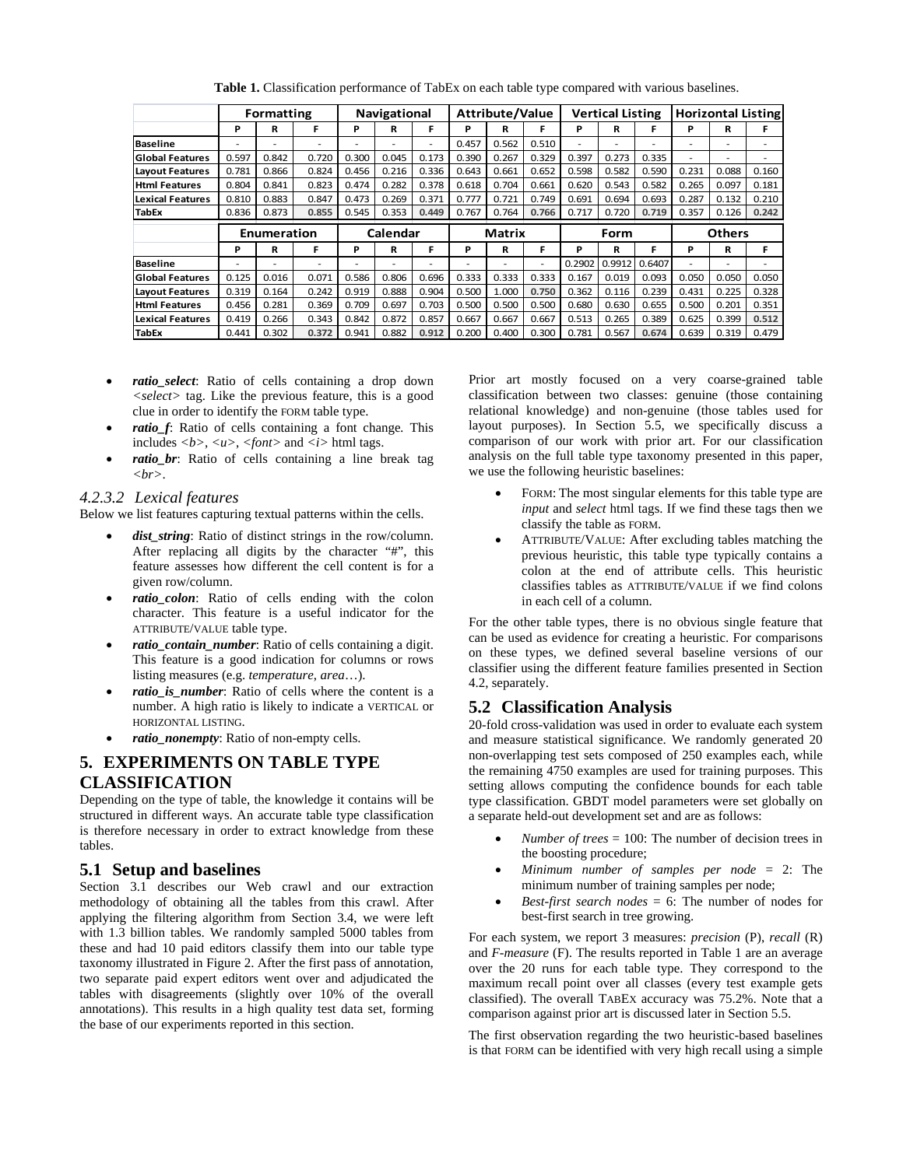|                         | <b>Formatting</b>        |                          |                          | Navigational |                          |       | Attribute/Value          |               |                          | <b>Vertical Listing</b> |                          |        | <b>Horizontal Listing</b> |                          |       |
|-------------------------|--------------------------|--------------------------|--------------------------|--------------|--------------------------|-------|--------------------------|---------------|--------------------------|-------------------------|--------------------------|--------|---------------------------|--------------------------|-------|
|                         | P                        | R                        | F                        | P            | R                        | F     | P                        | R             | F                        | P                       | R                        | F      | P                         | R                        | F     |
| <b>Baseline</b>         | ٠                        | $\overline{\phantom{0}}$ | $\overline{\phantom{0}}$ |              | $\overline{\phantom{0}}$ | -     | 0.457                    | 0.562         | 0.510                    |                         | $\overline{\phantom{0}}$ |        | $\overline{\phantom{0}}$  | $\overline{\phantom{0}}$ |       |
| <b>Global Features</b>  | 0.597                    | 0.842                    | 0.720                    | 0.300        | 0.045                    | 0.173 | 0.390                    | 0.267         | 0.329                    | 0.397                   | 0.273                    | 0.335  | $\overline{\phantom{0}}$  |                          |       |
| <b>Layout Features</b>  | 0.781                    | 0.866                    | 0.824                    | 0.456        | 0.216                    | 0.336 | 0.643                    | 0.661         | 0.652                    | 0.598                   | 0.582                    | 0.590  | 0.231                     | 0.088                    | 0.160 |
| <b>Html Features</b>    | 0.804                    | 0.841                    | 0.823                    | 0.474        | 0.282                    | 0.378 | 0.618                    | 0.704         | 0.661                    | 0.620                   | 0.543                    | 0.582  | 0.265                     | 0.097                    | 0.181 |
| <b>Lexical Features</b> | 0.810                    | 0.883                    | 0.847                    | 0.473        | 0.269                    | 0.371 | 0.777                    | 0.721         | 0.749                    | 0.691                   | 0.694                    | 0.693  | 0.287                     | 0.132                    | 0.210 |
| <b>TabEx</b>            | 0.836                    | 0.873                    | 0.855                    | 0.545        | 0.353                    | 0.449 | 0.767                    | 0.764         | 0.766                    | 0.717                   | 0.720                    | 0.719  | 0.357                     | 0.126                    | 0.242 |
|                         |                          |                          |                          |              |                          |       |                          |               |                          |                         |                          |        |                           |                          |       |
|                         |                          | Enumeration              |                          |              | Calendar                 |       |                          | <b>Matrix</b> |                          |                         | Form                     |        |                           | <b>Others</b>            |       |
|                         | P                        | R                        | F                        | P            | R                        | F     | P                        | R             | F                        | P                       | R                        | F      | P                         | R                        | F     |
| <b>Baseline</b>         | $\overline{\phantom{0}}$ | $\overline{a}$           |                          |              |                          |       | $\overline{\phantom{0}}$ |               | $\overline{\phantom{0}}$ | 0.2902                  | 0.9912                   | 0.6407 |                           |                          |       |
| <b>Global Features</b>  | 0.125                    | 0.016                    | 0.071                    | 0.586        | 0.806                    | 0.696 | 0.333                    | 0.333         | 0.333                    | 0.167                   | 0.019                    | 0.093  | 0.050                     | 0.050                    | 0.050 |
| <b>Layout Features</b>  | 0.319                    | 0.164                    | 0.242                    | 0.919        | 0.888                    | 0.904 | 0.500                    | 1.000         | 0.750                    | 0.362                   | 0.116                    | 0.239  | 0.431                     | 0.225                    | 0.328 |
| <b>Html Features</b>    | 0.456                    | 0.281                    | 0.369                    | 0.709        | 0.697                    | 0.703 | 0.500                    | 0.500         | 0.500                    | 0.680                   | 0.630                    | 0.655  | 0.500                     | 0.201                    | 0.351 |
| <b>Lexical Features</b> | 0.419                    | 0.266                    | 0.343                    | 0.842        | 0.872                    | 0.857 | 0.667                    | 0.667         | 0.667                    | 0.513                   | 0.265                    | 0.389  | 0.625                     | 0.399                    | 0.512 |

**Table 1.** Classification performance of TabEx on each table type compared with various baselines.

- *ratio\_select*: Ratio of cells containing a drop down *<select>* tag. Like the previous feature, this is a good clue in order to identify the FORM table type.
- *ratio\_f*: Ratio of cells containing a font change*.* This includes  $\langle b \rangle$ ,  $\langle u \rangle$ ,  $\langle f \rangle$  and  $\langle i \rangle$  html tags.
- *ratio br*: Ratio of cells containing a line break tag *<br>*.

#### *4.2.3.2 Lexical features*

Below we list features capturing textual patterns within the cells.

- *dist\_string*: Ratio of distinct strings in the row/column. After replacing all digits by the character "#", this feature assesses how different the cell content is for a given row/column.
- *ratio\_colon*: Ratio of cells ending with the colon character. This feature is a useful indicator for the ATTRIBUTE/VALUE table type.
- *ratio\_contain\_number*: Ratio of cells containing a digit. This feature is a good indication for columns or rows listing measures (e.g. *temperature*, *area*…).
- *ratio\_is\_number*: Ratio of cells where the content is a number. A high ratio is likely to indicate a VERTICAL or HORIZONTAL LISTING.
- *ratio\_nonempty*: Ratio of non-empty cells.

## **5. EXPERIMENTS ON TABLE TYPE CLASSIFICATION**

Depending on the type of table, the knowledge it contains will be structured in different ways. An accurate table type classification is therefore necessary in order to extract knowledge from these tables.

#### **5.1 Setup and baselines**

Section 3.1 describes our Web crawl and our extraction methodology of obtaining all the tables from this crawl. After applying the filtering algorithm from Section 3.4, we were left with 1.3 billion tables. We randomly sampled 5000 tables from these and had 10 paid editors classify them into our table type taxonomy illustrated in Figure 2. After the first pass of annotation, two separate paid expert editors went over and adjudicated the tables with disagreements (slightly over 10% of the overall annotations). This results in a high quality test data set, forming the base of our experiments reported in this section.

Prior art mostly focused on a very coarse-grained table classification between two classes: genuine (those containing relational knowledge) and non-genuine (those tables used for layout purposes). In Section 5.5, we specifically discuss a comparison of our work with prior art. For our classification analysis on the full table type taxonomy presented in this paper, we use the following heuristic baselines:

- FORM: The most singular elements for this table type are *input* and *select* html tags. If we find these tags then we classify the table as FORM.
- ATTRIBUTE/VALUE: After excluding tables matching the previous heuristic, this table type typically contains a colon at the end of attribute cells. This heuristic classifies tables as ATTRIBUTE/VALUE if we find colons in each cell of a column.

For the other table types, there is no obvious single feature that can be used as evidence for creating a heuristic. For comparisons on these types, we defined several baseline versions of our classifier using the different feature families presented in Section 4.2, separately.

#### **5.2 Classification Analysis**

20-fold cross-validation was used in order to evaluate each system and measure statistical significance. We randomly generated 20 non-overlapping test sets composed of 250 examples each, while the remaining 4750 examples are used for training purposes. This setting allows computing the confidence bounds for each table type classification. GBDT model parameters were set globally on a separate held-out development set and are as follows:

- *Number of trees* = 100: The number of decision trees in the boosting procedure;
- *Minimum number of samples per node* = 2: The minimum number of training samples per node;
- *Best-first search nodes* = 6: The number of nodes for best-first search in tree growing.

For each system, we report 3 measures: *precision* (P), *recall* (R) and *F-measure* (F). The results reported in Table 1 are an average over the 20 runs for each table type. They correspond to the maximum recall point over all classes (every test example gets classified). The overall TABEX accuracy was 75.2%. Note that a comparison against prior art is discussed later in Section 5.5.

The first observation regarding the two heuristic-based baselines is that FORM can be identified with very high recall using a simple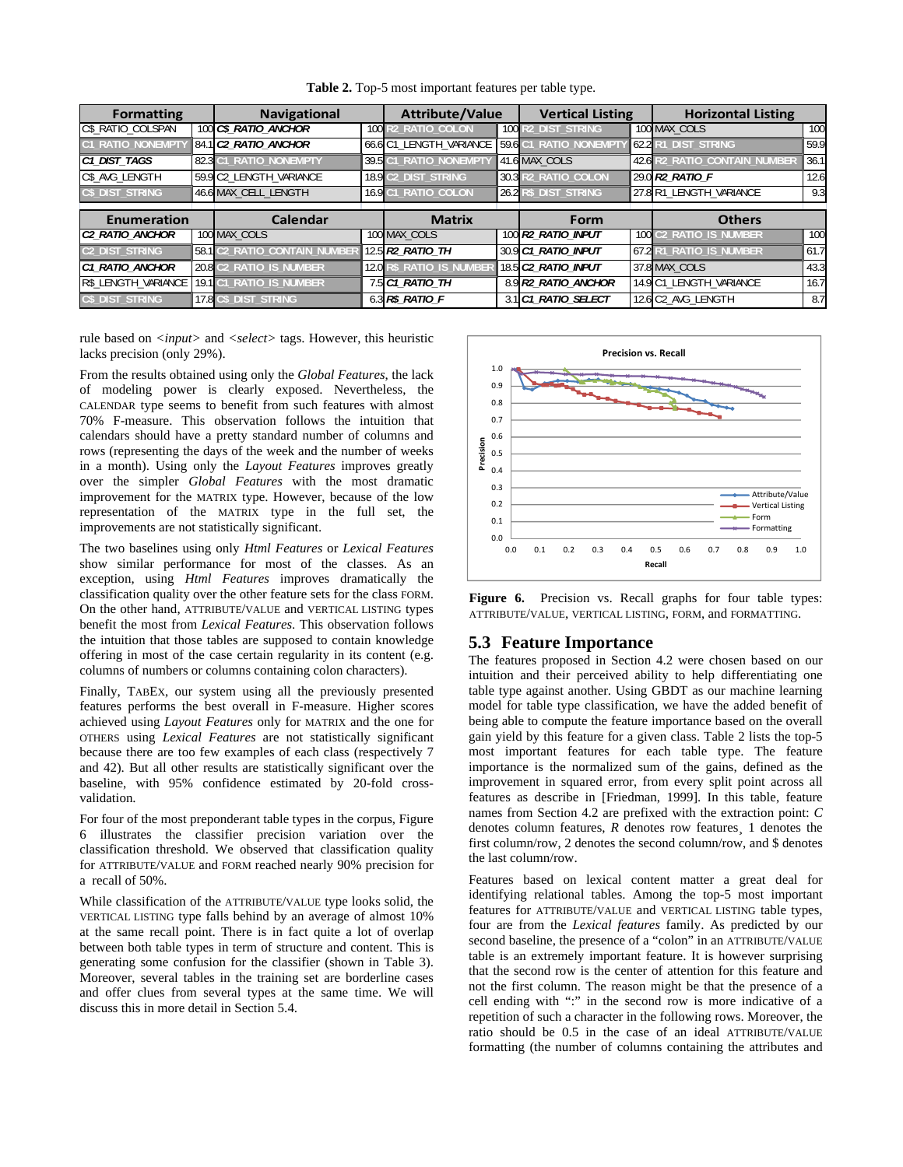| <b>Formatting</b>                        | Navigational                        | <b>Attribute/Value</b>   | <b>Vertical Listing</b> | <b>Horizontal Listing</b>    |             |
|------------------------------------------|-------------------------------------|--------------------------|-------------------------|------------------------------|-------------|
| C\$ RATIO COLSPAN                        | 100 C\$ RATIO ANCHOR                | 100 R2 RATIO COLON       | 100 R2 DIST STRING      | 100 MAX COLS                 | 100         |
| <b>C1 RATIO NONEMPTY</b>                 | 84.1 C2 RATIO ANCHOR                | 66.6 C1_LENGTH_VARIANCE  | 59.6 C1 RATIO NONEMPT   | 62.2 R1 DIST STRING          | 59.9        |
| C1 DIST TAGS                             | 82.3 C1 RATIO NONEMPTY              | 39.5 C1 RATIO NONEMPTY   | 41.6 MAX COLS           | 42.6 R2 RATIO CONTAIN NUMBER | 36.1        |
| C\$ AVG LENGTH                           | 59.9 C2 LENGTH VARIANCE             | 18.9 C2 DIST STRING      | 30.3 R2 RATIO COLON     | 29.0 R <sub>2</sub> RATIO_F  | 12.6        |
| <b>C\$ DIST STRING</b>                   | 46.6 MAX CELL LENGTH                | 16.9 C1 RATIO COLON      | 26.2 R\$ DIST STRING    | 27.8 R1 LENGTH VARIANCE      | 9.3         |
|                                          |                                     |                          |                         |                              |             |
|                                          |                                     |                          |                         |                              |             |
| <b>Enumeration</b>                       | <b>Calendar</b>                     | <b>Matrix</b>            | <b>Form</b>             | <b>Others</b>                |             |
| C2 RATIO ANCHOR                          | 100 MAX COLS                        | 100 MAX COLS             | 100 R2 RATIO INPUT      | 100 C2 RATIO IS NUMBER       |             |
|                                          | <b>58.1 C2 RATIO CONTAIN NUMBER</b> | 12.5 R2 RATIO TH         | 30.9 C1 RATIO INPUT     | 67.2 R1 RATIO IS NUMBER      | 100<br>61.7 |
| <b>C2 DIST STRING</b><br>C1 RATIO ANCHOR | 20.8 C2 RATIO IS NUMBER             | 12.0 R\$ RATIO IS NUMBER | 18.5 C2 RATIO INPUT     | 37.8 MAX COLS                | 43.3        |
| R\$ LENGTH VARIANCE                      | 19.1 C1 RATIO IS NUMBER             | 7.5 C1 RATIO TH          | 8.9 R2 RATIO ANCHOR     | 14.9 C1_LENGTH_VARIANCE      | 16.7        |

**Table 2.** Top-5 most important features per table type.

rule based on *<input>* and *<select>* tags. However, this heuristic lacks precision (only 29%).

From the results obtained using only the *Global Features*, the lack of modeling power is clearly exposed. Nevertheless, the CALENDAR type seems to benefit from such features with almost 70% F-measure. This observation follows the intuition that calendars should have a pretty standard number of columns and rows (representing the days of the week and the number of weeks in a month). Using only the *Layout Features* improves greatly over the simpler *Global Features* with the most dramatic improvement for the MATRIX type. However, because of the low representation of the MATRIX type in the full set, the improvements are not statistically significant.

The two baselines using only *Html Features* or *Lexical Features* show similar performance for most of the classes. As an exception, using *Html Features* improves dramatically the classification quality over the other feature sets for the class FORM. On the other hand, ATTRIBUTE/VALUE and VERTICAL LISTING types benefit the most from *Lexical Features*. This observation follows the intuition that those tables are supposed to contain knowledge offering in most of the case certain regularity in its content (e.g. columns of numbers or columns containing colon characters).

Finally, TABEX, our system using all the previously presented features performs the best overall in F-measure. Higher scores achieved using *Layout Features* only for MATRIX and the one for OTHERS using *Lexical Features* are not statistically significant because there are too few examples of each class (respectively 7 and 42). But all other results are statistically significant over the baseline, with 95% confidence estimated by 20-fold crossvalidation.

For four of the most preponderant table types in the corpus, Figure 6 illustrates the classifier precision variation over the classification threshold. We observed that classification quality for ATTRIBUTE/VALUE and FORM reached nearly 90% precision for a recall of 50%.

While classification of the ATTRIBUTE/VALUE type looks solid, the VERTICAL LISTING type falls behind by an average of almost 10% at the same recall point. There is in fact quite a lot of overlap between both table types in term of structure and content. This is generating some confusion for the classifier (shown in Table 3). Moreover, several tables in the training set are borderline cases and offer clues from several types at the same time. We will discuss this in more detail in Section 5.4.





#### **5.3 Feature Importance**

The features proposed in Section 4.2 were chosen based on our intuition and their perceived ability to help differentiating one table type against another. Using GBDT as our machine learning model for table type classification, we have the added benefit of being able to compute the feature importance based on the overall gain yield by this feature for a given class. Table 2 lists the top-5 most important features for each table type. The feature importance is the normalized sum of the gains, defined as the improvement in squared error, from every split point across all features as describe in [Friedman, 1999]. In this table, feature names from Section 4.2 are prefixed with the extraction point: *C* denotes column features, *R* denotes row features¸ 1 denotes the first column/row, 2 denotes the second column/row, and \$ denotes the last column/row.

Features based on lexical content matter a great deal for identifying relational tables. Among the top-5 most important features for ATTRIBUTE/VALUE and VERTICAL LISTING table types, four are from the *Lexical features* family. As predicted by our second baseline, the presence of a "colon" in an ATTRIBUTE/VALUE table is an extremely important feature. It is however surprising that the second row is the center of attention for this feature and not the first column. The reason might be that the presence of a cell ending with ":" in the second row is more indicative of a repetition of such a character in the following rows. Moreover, the ratio should be 0.5 in the case of an ideal ATTRIBUTE/VALUE formatting (the number of columns containing the attributes and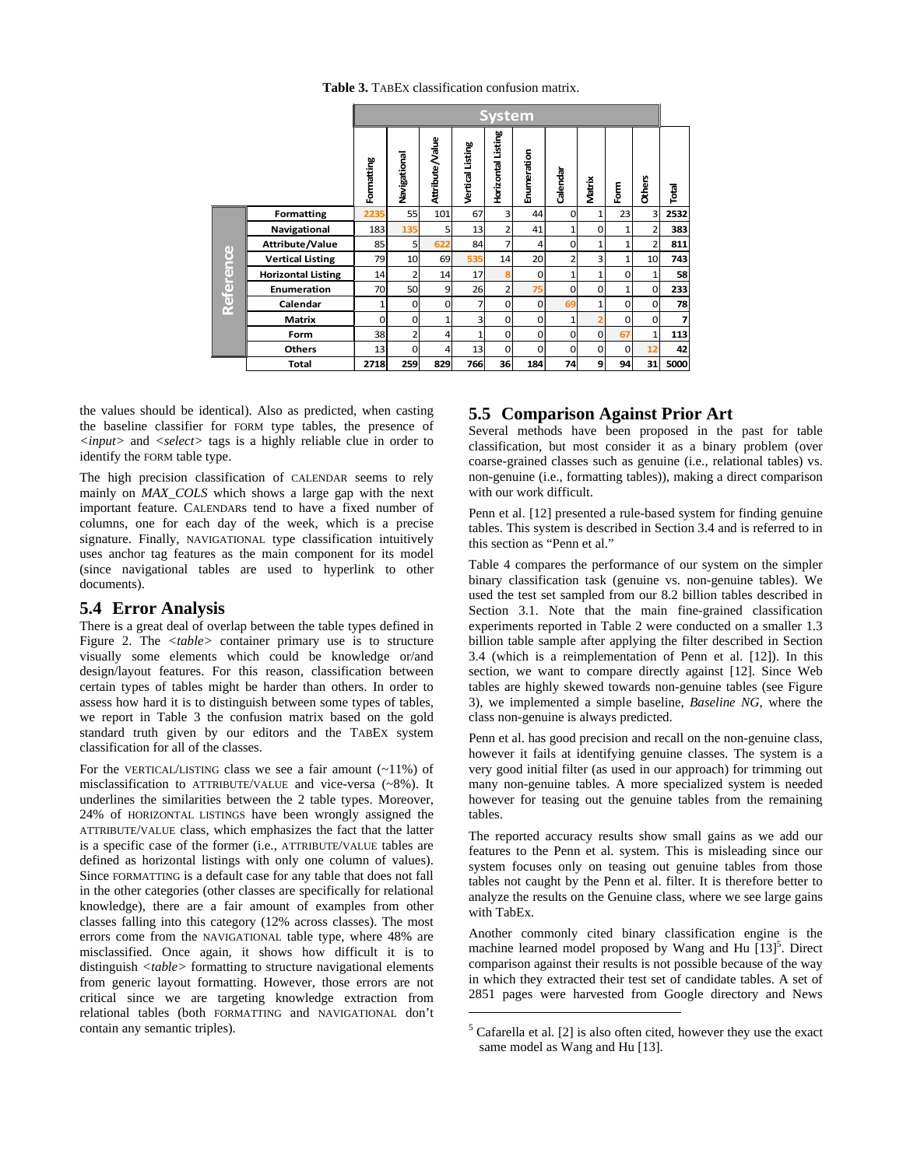**Table 3.** TABEX classification confusion matrix.

|           |                           | <b>System</b> |                 |                 |                  |                         |             |                |                |              |                 |                |
|-----------|---------------------------|---------------|-----------------|-----------------|------------------|-------------------------|-------------|----------------|----------------|--------------|-----------------|----------------|
|           |                           | Formatting    | Navigational    | Attribute/Value | Vertical Listing | Horizontal Listing      | Enumeration | Calendar       | Matrix         | Form         | Others          | Total          |
|           | <b>Formatting</b>         | 2235          | 55              | 101             | 67               | $\overline{\mathbf{3}}$ | 44          | $\Omega$       | 1              | 23           | 3               | 2532           |
|           | Navigational              | 183           | 135             | 5               | 13               | $\overline{2}$          | 41          | 1              | 0              | 1            | $\overline{2}$  | 383            |
|           | Attribute/Value           | 85            | 5               | 622             | 84               | 7                       | 4           | $\overline{0}$ | $\mathbf{1}$   | $\mathbf{1}$ | 2               | 811            |
|           | <b>Vertical Listing</b>   | 79            | 10 <sup>1</sup> | 69              | 535              | 14                      | 20          | $\overline{2}$ | 3              | $\mathbf{1}$ | 10 <sup>1</sup> | 743            |
|           | <b>Horizontal Listing</b> | 14            | $\overline{2}$  | 14              | 17               | 8                       | $\Omega$    | 1              | $\mathbf{1}$   | $\Omega$     | 1               | 58             |
|           | Enumeration               | 70            | 50              | 9               | 26               | $\overline{2}$          | 75          | $\overline{0}$ | 0              | $\mathbf{1}$ | $\mathbf 0$     | 233            |
| Reference | Calendar                  | $\mathbf{1}$  | $\mathbf 0$     | 0               | 7                | 0                       | 0           | 69             | $\overline{1}$ | $\Omega$     | 0               | 78             |
|           | <b>Matrix</b>             | $\Omega$      | $\mathbf 0$     | 1               | 3                | 0                       | $\Omega$    | 1              | $\overline{2}$ | $\Omega$     | $\Omega$        | $\overline{7}$ |
|           | Form                      | 38            | 2               | 4               | 1                | $\mathbf 0$             | $\Omega$    | $\overline{0}$ | 0              | 67           | $\mathbf{1}$    | 113            |
|           | <b>Others</b>             | 13            | 0               | 4               | 13               | $\mathbf 0$             | $\Omega$    | $\Omega$       | 0              | $\Omega$     | 12              | 42             |
|           | Total                     | 2718          | 259             | 829             | 766              | 36                      | 184         | 74             | 9              | 94           | 31              | 5000           |

1

the values should be identical). Also as predicted, when casting the baseline classifier for FORM type tables, the presence of *<input>* and *<select>* tags is a highly reliable clue in order to identify the FORM table type.

The high precision classification of CALENDAR seems to rely mainly on *MAX\_COLS* which shows a large gap with the next important feature. CALENDARs tend to have a fixed number of columns, one for each day of the week, which is a precise signature. Finally, NAVIGATIONAL type classification intuitively uses anchor tag features as the main component for its model (since navigational tables are used to hyperlink to other documents).

#### **5.4 Error Analysis**

There is a great deal of overlap between the table types defined in Figure 2. The *<table>* container primary use is to structure visually some elements which could be knowledge or/and design/layout features. For this reason, classification between certain types of tables might be harder than others. In order to assess how hard it is to distinguish between some types of tables, we report in Table 3 the confusion matrix based on the gold standard truth given by our editors and the TABEX system classification for all of the classes.

For the VERTICAL/LISTING class we see a fair amount  $(\sim 11\%)$  of misclassification to ATTRIBUTE/VALUE and vice-versa (~8%). It underlines the similarities between the 2 table types. Moreover, 24% of HORIZONTAL LISTINGS have been wrongly assigned the ATTRIBUTE/VALUE class, which emphasizes the fact that the latter is a specific case of the former (i.e., ATTRIBUTE/VALUE tables are defined as horizontal listings with only one column of values). Since FORMATTING is a default case for any table that does not fall in the other categories (other classes are specifically for relational knowledge), there are a fair amount of examples from other classes falling into this category (12% across classes). The most errors come from the NAVIGATIONAL table type, where 48% are misclassified. Once again, it shows how difficult it is to distinguish *<table>* formatting to structure navigational elements from generic layout formatting. However, those errors are not critical since we are targeting knowledge extraction from relational tables (both FORMATTING and NAVIGATIONAL don't contain any semantic triples).

#### **5.5 Comparison Against Prior Art**

Several methods have been proposed in the past for table classification, but most consider it as a binary problem (over coarse-grained classes such as genuine (i.e., relational tables) vs. non-genuine (i.e., formatting tables)), making a direct comparison with our work difficult.

Penn et al. [12] presented a rule-based system for finding genuine tables. This system is described in Section 3.4 and is referred to in this section as "Penn et al."

Table 4 compares the performance of our system on the simpler binary classification task (genuine vs. non-genuine tables). We used the test set sampled from our 8.2 billion tables described in Section 3.1. Note that the main fine-grained classification experiments reported in Table 2 were conducted on a smaller 1.3 billion table sample after applying the filter described in Section 3.4 (which is a reimplementation of Penn et al. [12]). In this section, we want to compare directly against [12]. Since Web tables are highly skewed towards non-genuine tables (see Figure 3), we implemented a simple baseline, *Baseline NG*, where the class non-genuine is always predicted.

Penn et al. has good precision and recall on the non-genuine class, however it fails at identifying genuine classes. The system is a very good initial filter (as used in our approach) for trimming out many non-genuine tables. A more specialized system is needed however for teasing out the genuine tables from the remaining tables.

The reported accuracy results show small gains as we add our features to the Penn et al. system. This is misleading since our system focuses only on teasing out genuine tables from those tables not caught by the Penn et al. filter. It is therefore better to analyze the results on the Genuine class, where we see large gains with TabEx.

Another commonly cited binary classification engine is the machine learned model proposed by Wang and Hu  $[13]$ <sup>5</sup>. Direct comparison against their results is not possible because of the way in which they extracted their test set of candidate tables. A set of 2851 pages were harvested from Google directory and News

 $<sup>5</sup>$  Cafarella et al. [2] is also often cited, however they use the exact</sup> same model as Wang and Hu [13].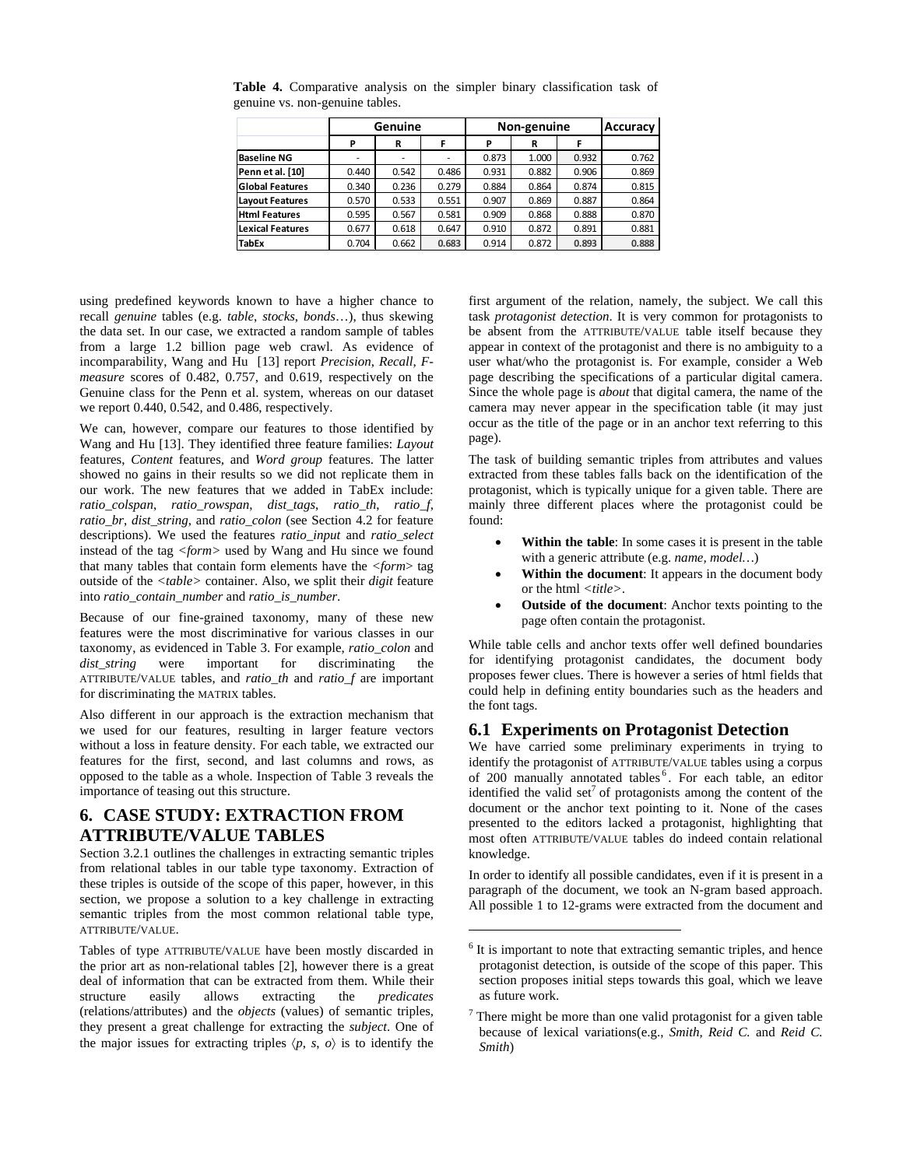|                         |       | Genuine |       |       | Non-genuine |       | Accuracy |
|-------------------------|-------|---------|-------|-------|-------------|-------|----------|
|                         | P     | R       | F     | P     | R           | F     |          |
| <b>Baseline NG</b>      |       |         |       | 0.873 | 1.000       | 0.932 | 0.762    |
| Penn et al. [10]        | 0.440 | 0.542   | 0.486 | 0.931 | 0.882       | 0.906 | 0.869    |
| <b>Global Features</b>  | 0.340 | 0.236   | 0.279 | 0.884 | 0.864       | 0.874 | 0.815    |
| <b>Layout Features</b>  | 0.570 | 0.533   | 0.551 | 0.907 | 0.869       | 0.887 | 0.864    |
| <b>Html Features</b>    | 0.595 | 0.567   | 0.581 | 0.909 | 0.868       | 0.888 | 0.870    |
| <b>Lexical Features</b> | 0.677 | 0.618   | 0.647 | 0.910 | 0.872       | 0.891 | 0.881    |
| <b>TabEx</b>            | 0.704 | 0.662   | 0.683 | 0.914 | 0.872       | 0.893 | 0.888    |

1

**Table 4.** Comparative analysis on the simpler binary classification task of genuine vs. non-genuine tables.

using predefined keywords known to have a higher chance to recall *genuine* tables (e.g. *table*, *stocks*, *bonds*…), thus skewing the data set. In our case, we extracted a random sample of tables from a large 1.2 billion page web crawl. As evidence of incomparability, Wang and Hu [13] report *Precision*, *Recall*, *Fmeasure* scores of 0.482, 0.757, and 0.619, respectively on the Genuine class for the Penn et al. system, whereas on our dataset we report 0.440, 0.542, and 0.486, respectively.

We can, however, compare our features to those identified by Wang and Hu [13]. They identified three feature families: *Layout* features, *Content* features, and *Word group* features. The latter showed no gains in their results so we did not replicate them in our work. The new features that we added in TabEx include: *ratio\_colspan*, *ratio\_rowspan*, *dist\_tags*, *ratio\_th*, *ratio\_f*, *ratio\_br*, *dist\_string*, and *ratio\_colon* (see Section 4.2 for feature descriptions). We used the features *ratio\_input* and *ratio\_select* instead of the tag *<form>* used by Wang and Hu since we found that many tables that contain form elements have the *<form*> tag outside of the *<table>* container. Also, we split their *digit* feature into *ratio\_contain\_number* and *ratio\_is\_number*.

Because of our fine-grained taxonomy, many of these new features were the most discriminative for various classes in our taxonomy, as evidenced in Table 3. For example, *ratio\_colon* and *dist string* were important for discriminating the ATTRIBUTE/VALUE tables, and *ratio\_th* and *ratio\_f* are important for discriminating the MATRIX tables.

Also different in our approach is the extraction mechanism that we used for our features, resulting in larger feature vectors without a loss in feature density. For each table, we extracted our features for the first, second, and last columns and rows, as opposed to the table as a whole. Inspection of Table 3 reveals the importance of teasing out this structure.

## **6. CASE STUDY: EXTRACTION FROM ATTRIBUTE/VALUE TABLES**

Section 3.2.1 outlines the challenges in extracting semantic triples from relational tables in our table type taxonomy. Extraction of these triples is outside of the scope of this paper, however, in this section, we propose a solution to a key challenge in extracting semantic triples from the most common relational table type, ATTRIBUTE/VALUE.

Tables of type ATTRIBUTE/VALUE have been mostly discarded in the prior art as non-relational tables [2], however there is a great deal of information that can be extracted from them. While their structure easily allows extracting the *predicates* (relations/attributes) and the *objects* (values) of semantic triples, they present a great challenge for extracting the *subject*. One of the major issues for extracting triples  $\langle p, s, \rho \rangle$  is to identify the first argument of the relation, namely, the subject. We call this task *protagonist detection*. It is very common for protagonists to be absent from the ATTRIBUTE/VALUE table itself because they appear in context of the protagonist and there is no ambiguity to a user what/who the protagonist is. For example, consider a Web page describing the specifications of a particular digital camera. Since the whole page is *about* that digital camera, the name of the camera may never appear in the specification table (it may just occur as the title of the page or in an anchor text referring to this page).

The task of building semantic triples from attributes and values extracted from these tables falls back on the identification of the protagonist, which is typically unique for a given table. There are mainly three different places where the protagonist could be found:

- **Within the table**: In some cases it is present in the table with a generic attribute (e.g. *name, model…*)
- **Within the document**: It appears in the document body or the html *<title>*.
- **Outside of the document**: Anchor texts pointing to the page often contain the protagonist.

While table cells and anchor texts offer well defined boundaries for identifying protagonist candidates, the document body proposes fewer clues. There is however a series of html fields that could help in defining entity boundaries such as the headers and the font tags.

#### **6.1 Experiments on Protagonist Detection**

We have carried some preliminary experiments in trying to identify the protagonist of ATTRIBUTE/VALUE tables using a corpus of 200 manually annotated tables<sup>6</sup>. For each table, an editor identified the valid set<sup>7</sup> of protagonists among the content of the document or the anchor text pointing to it. None of the cases presented to the editors lacked a protagonist, highlighting that most often ATTRIBUTE/VALUE tables do indeed contain relational knowledge.

In order to identify all possible candidates, even if it is present in a paragraph of the document, we took an N-gram based approach. All possible 1 to 12-grams were extracted from the document and

<sup>&</sup>lt;sup>6</sup> It is important to note that extracting semantic triples, and hence protagonist detection, is outside of the scope of this paper. This section proposes initial steps towards this goal, which we leave as future work.

 $7$  There might be more than one valid protagonist for a given table because of lexical variations(e.g., *Smith, Reid C.* and *Reid C. Smith*)